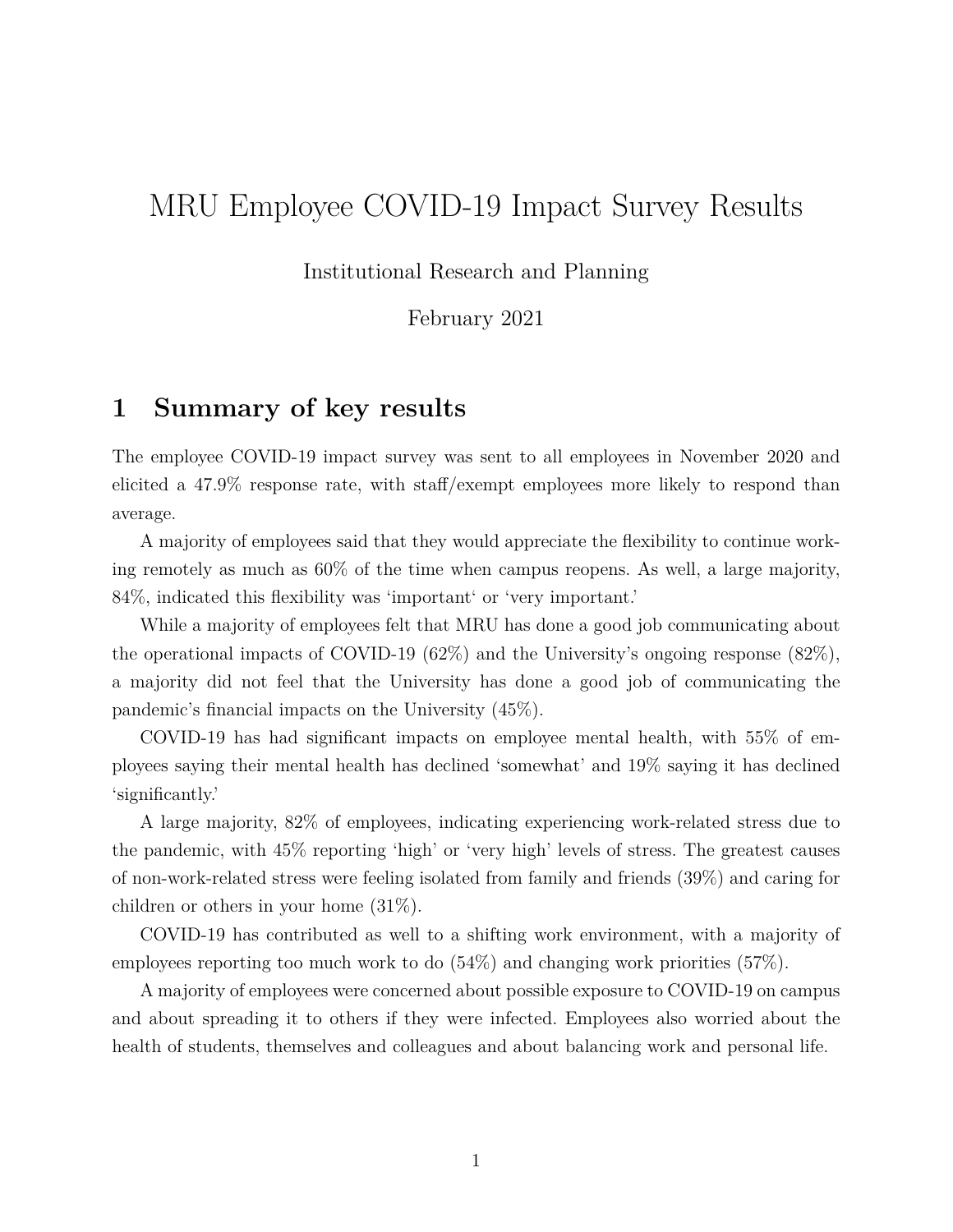# MRU Employee COVID-19 Impact Survey Results

### Institutional Research and Planning

February 2021

## **1 Summary of key results**

The employee COVID-19 impact survey was sent to all employees in November 2020 and elicited a 47.9% response rate, with staff/exempt employees more likely to respond than average.

A majority of employees said that they would appreciate the flexibility to continue working remotely as much as 60% of the time when campus reopens. As well, a large majority, 84%, indicated this flexibility was 'important' or 'very important.'

While a majority of employees felt that MRU has done a good job communicating about the operational impacts of COVID-19 (62%) and the University's ongoing response  $(82\%)$ , a majority did not feel that the University has done a good job of communicating the pandemic's financial impacts on the University (45%).

COVID-19 has had significant impacts on employee mental health, with 55% of employees saying their mental health has declined 'somewhat' and 19% saying it has declined 'significantly.'

A large majority, 82% of employees, indicating experiencing work-related stress due to the pandemic, with 45% reporting 'high' or 'very high' levels of stress. The greatest causes of non-work-related stress were feeling isolated from family and friends (39%) and caring for children or others in your home (31%).

COVID-19 has contributed as well to a shifting work environment, with a majority of employees reporting too much work to do (54%) and changing work priorities (57%).

A majority of employees were concerned about possible exposure to COVID-19 on campus and about spreading it to others if they were infected. Employees also worried about the health of students, themselves and colleagues and about balancing work and personal life.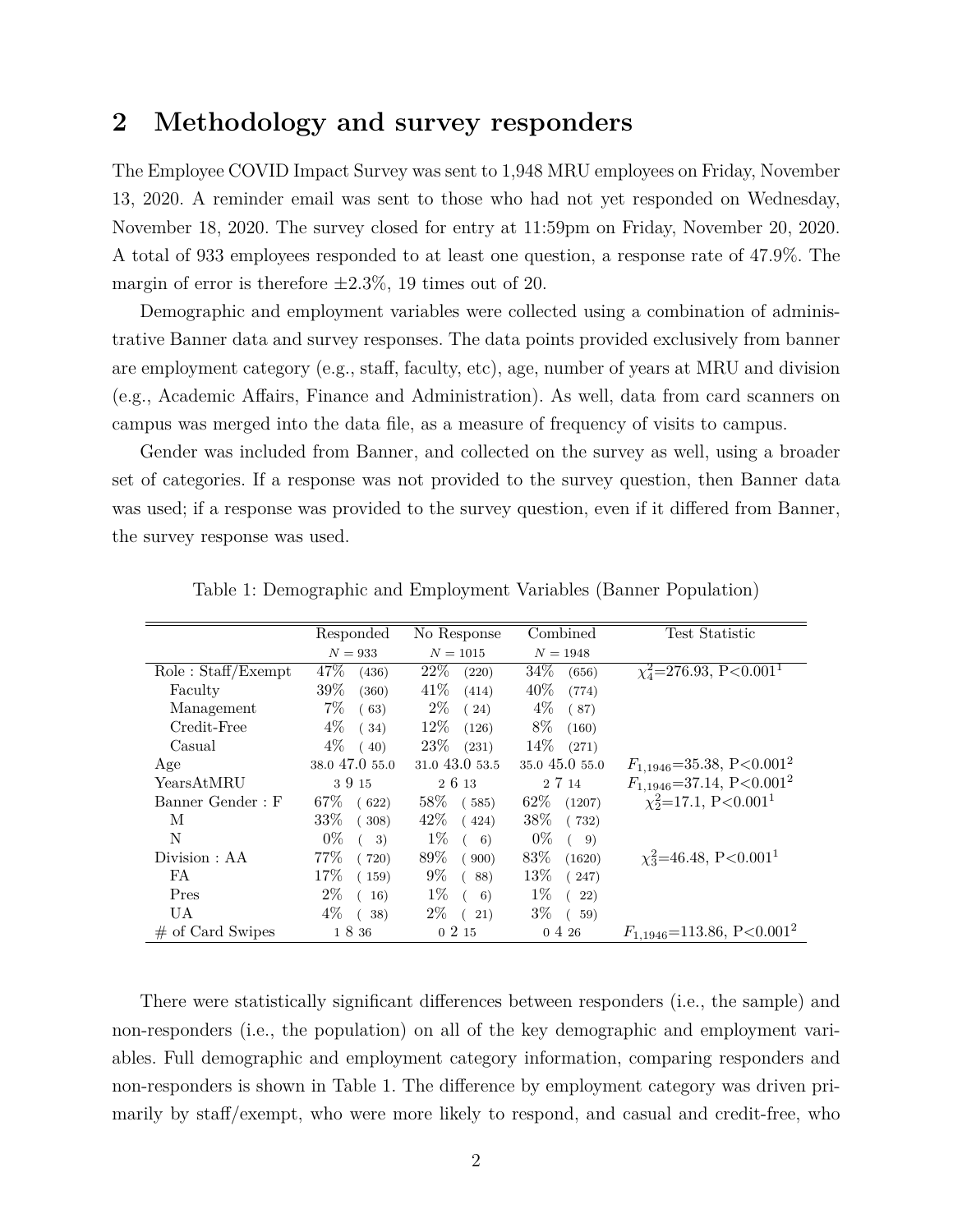### **2 Methodology and survey responders**

The Employee COVID Impact Survey was sent to 1,948 MRU employees on Friday, November 13, 2020. A reminder email was sent to those who had not yet responded on Wednesday, November 18, 2020. The survey closed for entry at 11:59pm on Friday, November 20, 2020. A total of 933 employees responded to at least one question, a response rate of 47.9%. The margin of error is therefore *±*2.3%, 19 times out of 20.

Demographic and employment variables were collected using a combination of administrative Banner data and survey responses. The data points provided exclusively from banner are employment category (e.g., staff, faculty, etc), age, number of years at MRU and division (e.g., Academic Affairs, Finance and Administration). As well, data from card scanners on campus was merged into the data file, as a measure of frequency of visits to campus.

Gender was included from Banner, and collected on the survey as well, using a broader set of categories. If a response was not provided to the survey question, then Banner data was used; if a response was provided to the survey question, even if it differed from Banner, the survey response was used.

|                                    | Responded       | No Response     | Combined         | Test Statistic                             |
|------------------------------------|-----------------|-----------------|------------------|--------------------------------------------|
|                                    | $N = 933$       | $N = 1015$      | $N = 1948$       |                                            |
| $Role: \text{Staff}/\text{Exempt}$ | 47\%<br>(436)   | 22%<br>(220)    | $34\%$<br>(656)  | $\chi^2$ =276.93, P<0.001 <sup>1</sup>     |
| Faculty                            | $39\%$<br>(360) | 41\%<br>(414)   | 40\%<br>(774)    |                                            |
| Management                         | $7\%$<br>(63)   | $2\%$<br>(24)   | $4\%$<br>(87)    |                                            |
| Credit-Free                        | $4\%$<br>(34)   | $12\%$<br>(126) | 8%<br>(160)      |                                            |
| Casual                             | $4\%$<br>(40)   | $23\%$<br>(231) | $14\%$<br>(271)  |                                            |
| Age                                | 38.0 47.0 55.0  | 31.0 43.0 53.5  | 35.0 45.0 55.0   | $F_{1,1946} = 35.38, P < 0.001^2$          |
| YearsAtMRU                         | 3915            | 2 6 13          | 2 7 14           | $F_{1,1946} = 37.14, P < 0.001^2$          |
| Banner Gender: F                   | 67%<br>(622)    | 58%<br>(585)    | $62\%$<br>(1207) | $\chi_2^2$ =17.1, P<0.001 <sup>1</sup>     |
| M                                  | $33\%$<br>(308) | $42\%$<br>(424) | $38\%$<br>(732)  |                                            |
| N                                  | $0\%$<br>3)     | $1\%$<br>6)     | $0\%$<br>-9)     |                                            |
| Division: AA                       | 77%<br>(720)    | 89\%<br>(900)   | 83\%<br>(1620)   | $\chi_3^2$ =46.48, P<0.001 <sup>1</sup>    |
| FA                                 | 17\%<br>(159)   | $9\%$<br>(88)   | 13\%<br>(247)    |                                            |
| Pres                               | $2\%$<br>16)    | $1\%$<br>(6)    | $1\%$<br>(22)    |                                            |
| UA                                 | $4\%$<br>38)    | $2\%$<br>(21)   | $3\%$<br>(59)    |                                            |
| $\#$ of Card Swipes                | 1 8 36          | 0215            | $0\;4\;26$       | $F_{1,1946}$ =113.86, P<0.001 <sup>2</sup> |

| Table 1: Demographic and Employment Variables (Banner Population) |  |  |
|-------------------------------------------------------------------|--|--|
|-------------------------------------------------------------------|--|--|

There were statistically significant differences between responders (i.e., the sample) and non-responders (i.e., the population) on all of the key demographic and employment variables. Full demographic and employment category information, comparing responders and non-responders is shown in Table 1. The difference by employment category was driven primarily by staff/exempt, who were more likely to respond, and casual and credit-free, who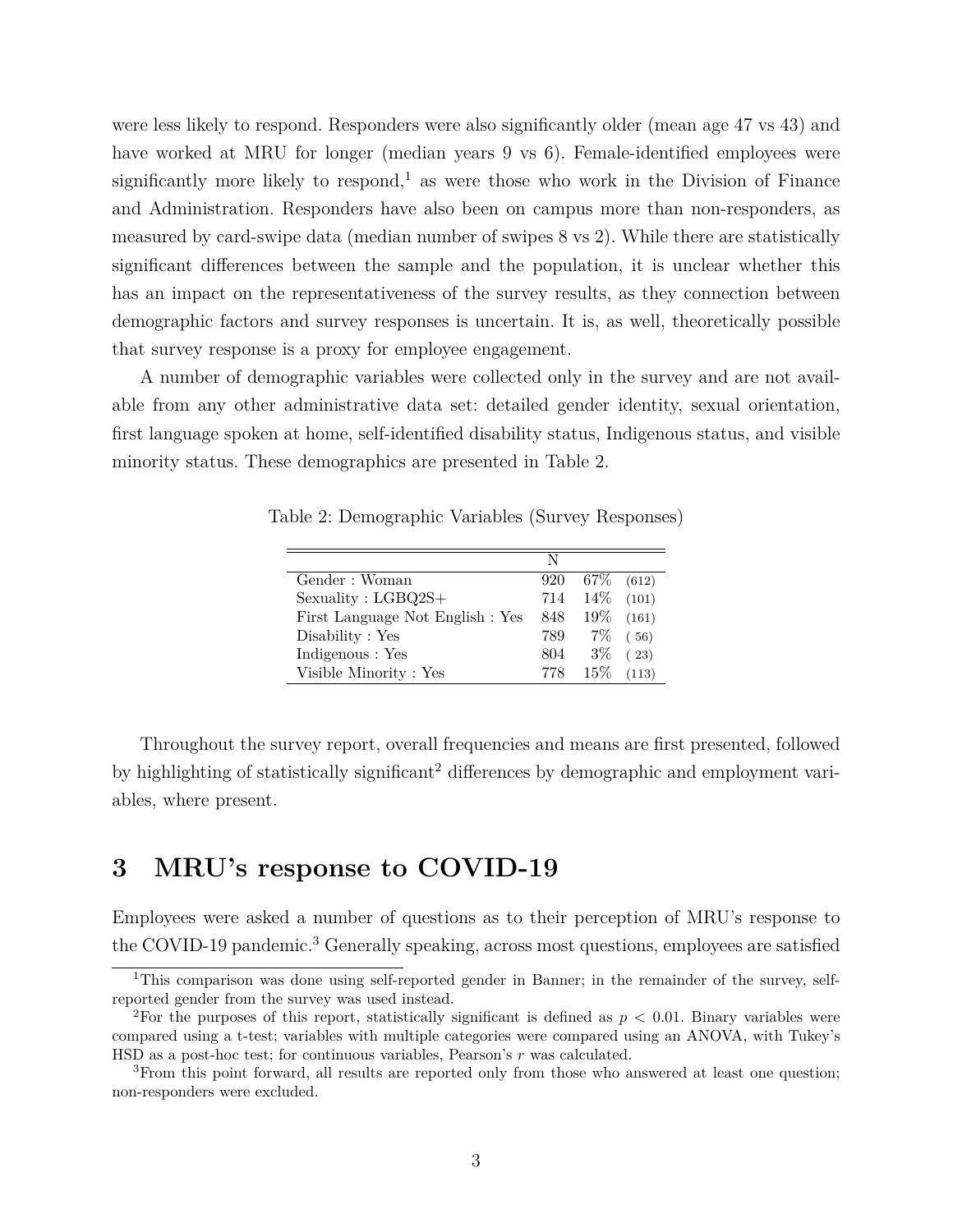were less likely to respond. Responders were also significantly older (mean age 47 vs 43) and have worked at MRU for longer (median years 9 vs 6). Female-identified employees were significantly more likely to respond,<sup>1</sup> as were those who work in the Division of Finance and Administration. Responders have also been on campus more than non-responders, as measured by card-swipe data (median number of swipes 8 vs 2). While there are statistically significant differences between the sample and the population, it is unclear whether this has an impact on the representativeness of the survey results, as they connection between demographic factors and survey responses is uncertain. It is, as well, theoretically possible that survey response is a proxy for employee engagement.

A number of demographic variables were collected only in the survey and are not available from any other administrative data set: detailed gender identity, sexual orientation, first language spoken at home, self-identified disability status, Indigenous status, and visible minority status. These demographics are presented in Table 2.

Table 2: Demographic Variables (Survey Responses)

|                                  | N   |        |              |
|----------------------------------|-----|--------|--------------|
| Gender: Woman                    | 920 | 67%    | (612)        |
| Sexuality: LGBQ2S+               | 714 |        | $14\%$ (101) |
| First Language Not English : Yes | 848 | $19\%$ | (161)        |
| Disability : Yes                 | 789 |        | $7\%$ (56)   |
| Indigenous : Yes                 | 804 | $3\%$  | (23)         |
| Visible Minority: Yes            | 778 | $15\%$ | (113)        |

Throughout the survey report, overall frequencies and means are first presented, followed by highlighting of statistically significant<sup>2</sup> differences by demographic and employment variables, where present.

# **3 MRU's response to COVID-19**

Employees were asked a number of questions as to their perception of MRU's response to the COVID-19 pandemic.<sup>3</sup> Generally speaking, across most questions, employees are satisfied

<sup>&</sup>lt;sup>1</sup>This comparison was done using self-reported gender in Banner; in the remainder of the survey, selfreported gender from the survey was used instead.

<sup>2</sup>For the purposes of this report, statistically significant is defined as *p <* 0*.*01. Binary variables were compared using a t-test; variables with multiple categories were compared using an ANOVA, with Tukey's HSD as a post-hoc test; for continuous variables, Pearson's *r* was calculated.

<sup>3</sup>From this point forward, all results are reported only from those who answered at least one question; non-responders were excluded.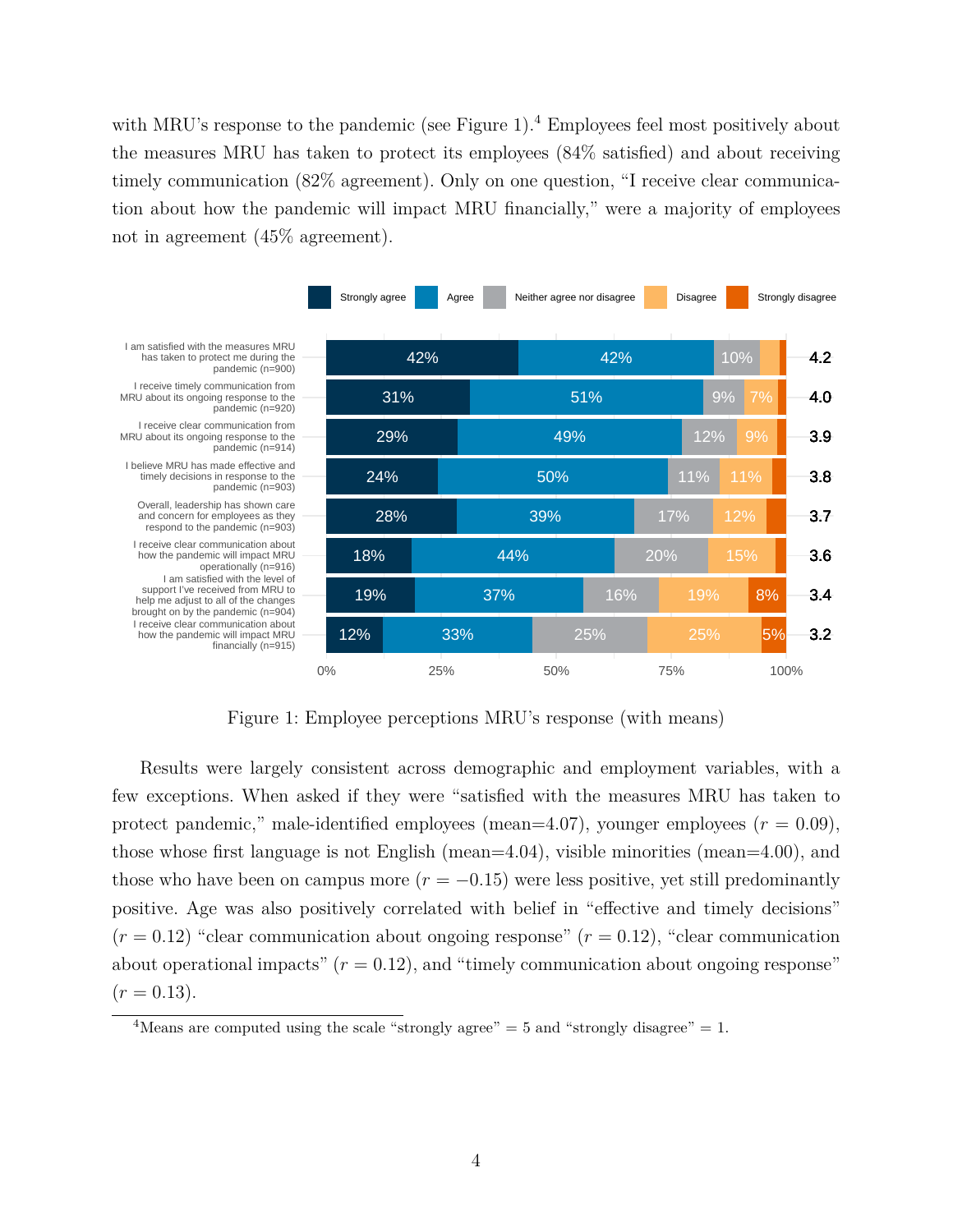with MRU's response to the pandemic (see Figure 1).<sup>4</sup> Employees feel most positively about the measures MRU has taken to protect its employees (84% satisfied) and about receiving timely communication (82% agreement). Only on one question, "I receive clear communication about how the pandemic will impact MRU financially," were a majority of employees not in agreement (45% agreement).



Figure 1: Employee perceptions MRU's response (with means)

Results were largely consistent across demographic and employment variables, with a few exceptions. When asked if they were "satisfied with the measures MRU has taken to protect pandemic," male-identified employees (mean=4.07), younger employees ( $r = 0.09$ ), those whose first language is not English (mean=4.04), visible minorities (mean=4.00), and those who have been on campus more  $(r = -0.15)$  were less positive, yet still predominantly positive. Age was also positively correlated with belief in "effective and timely decisions"  $(r = 0.12)$  "clear communication about ongoing response"  $(r = 0.12)$ , "clear communication about operational impacts"  $(r = 0.12)$ , and "timely communication about ongoing response"  $(r = 0.13).$ 

<sup>&</sup>lt;sup>4</sup>Means are computed using the scale "strongly agree" = 5 and "strongly disagree" = 1.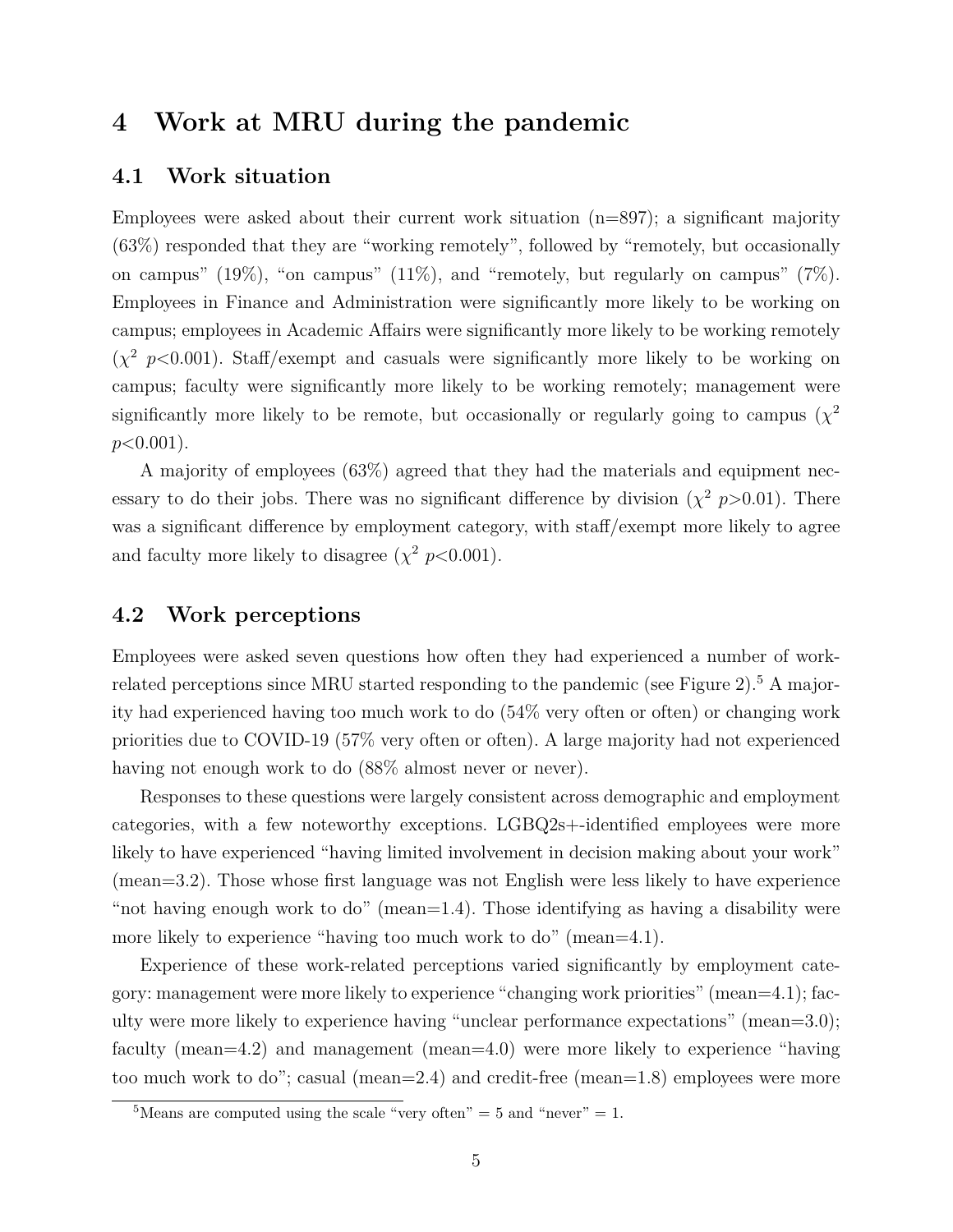# **4 Work at MRU during the pandemic**

#### **4.1 Work situation**

Employees were asked about their current work situation  $(n=897)$ ; a significant majority (63%) responded that they are "working remotely", followed by "remotely, but occasionally on campus" (19%), "on campus" (11%), and "remotely, but regularly on campus" (7%). Employees in Finance and Administration were significantly more likely to be working on campus; employees in Academic Affairs were significantly more likely to be working remotely  $(\chi^2 \, p<0.001)$ . Staff/exempt and casuals were significantly more likely to be working on campus; faculty were significantly more likely to be working remotely; management were significantly more likely to be remote, but occasionally or regularly going to campus  $(\chi^2)$ *p*<0.001).

A majority of employees (63%) agreed that they had the materials and equipment necessary to do their jobs. There was no significant difference by division  $(\chi^2 \, p > 0.01)$ . There was a significant difference by employment category, with staff/exempt more likely to agree and faculty more likely to disagree  $(\chi^2 p<0.001)$ .

#### **4.2 Work perceptions**

Employees were asked seven questions how often they had experienced a number of workrelated perceptions since MRU started responding to the pandemic (see Figure 2).<sup>5</sup> A majority had experienced having too much work to do (54% very often or often) or changing work priorities due to COVID-19 (57% very often or often). A large majority had not experienced having not enough work to do  $(88\%$  almost never or never).

Responses to these questions were largely consistent across demographic and employment categories, with a few noteworthy exceptions. LGBQ2s+-identified employees were more likely to have experienced "having limited involvement in decision making about your work" (mean=3.2). Those whose first language was not English were less likely to have experience "not having enough work to do" (mean=1.4). Those identifying as having a disability were more likely to experience "having too much work to do" (mean=4.1).

Experience of these work-related perceptions varied significantly by employment category: management were more likely to experience "changing work priorities" (mean=4.1); faculty were more likely to experience having "unclear performance expectations" (mean=3.0); faculty (mean=4.2) and management (mean=4.0) were more likely to experience "having too much work to do"; casual (mean=2.4) and credit-free (mean=1.8) employees were more

<sup>&</sup>lt;sup>5</sup>Means are computed using the scale "very often"  $=$  5 and "never"  $=$  1.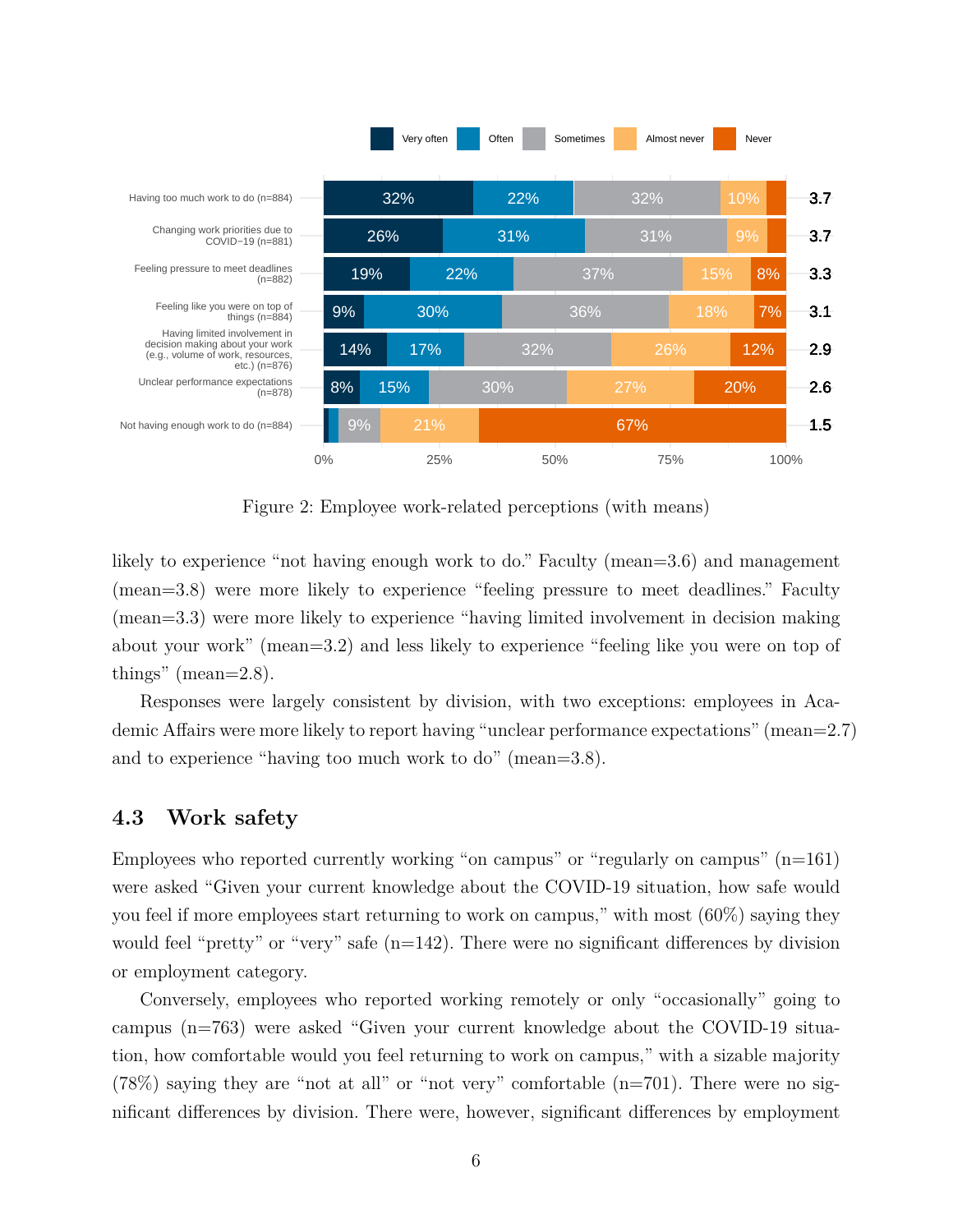

Figure 2: Employee work-related perceptions (with means)

likely to experience "not having enough work to do." Faculty (mean=3.6) and management (mean=3.8) were more likely to experience "feeling pressure to meet deadlines." Faculty (mean=3.3) were more likely to experience "having limited involvement in decision making about your work" (mean=3.2) and less likely to experience "feeling like you were on top of things" (mean= $2.8$ ).

Responses were largely consistent by division, with two exceptions: employees in Academic Affairs were more likely to report having "unclear performance expectations" (mean=2.7) and to experience "having too much work to do" (mean=3.8).

#### **4.3 Work safety**

Employees who reported currently working "on campus" or "regularly on campus"  $(n=161)$ were asked "Given your current knowledge about the COVID-19 situation, how safe would you feel if more employees start returning to work on campus," with most (60%) saying they would feel "pretty" or "very" safe  $(n=142)$ . There were no significant differences by division or employment category.

Conversely, employees who reported working remotely or only "occasionally" going to campus (n=763) were asked "Given your current knowledge about the COVID-19 situation, how comfortable would you feel returning to work on campus," with a sizable majority (78%) saying they are "not at all" or "not very" comfortable (n=701). There were no significant differences by division. There were, however, significant differences by employment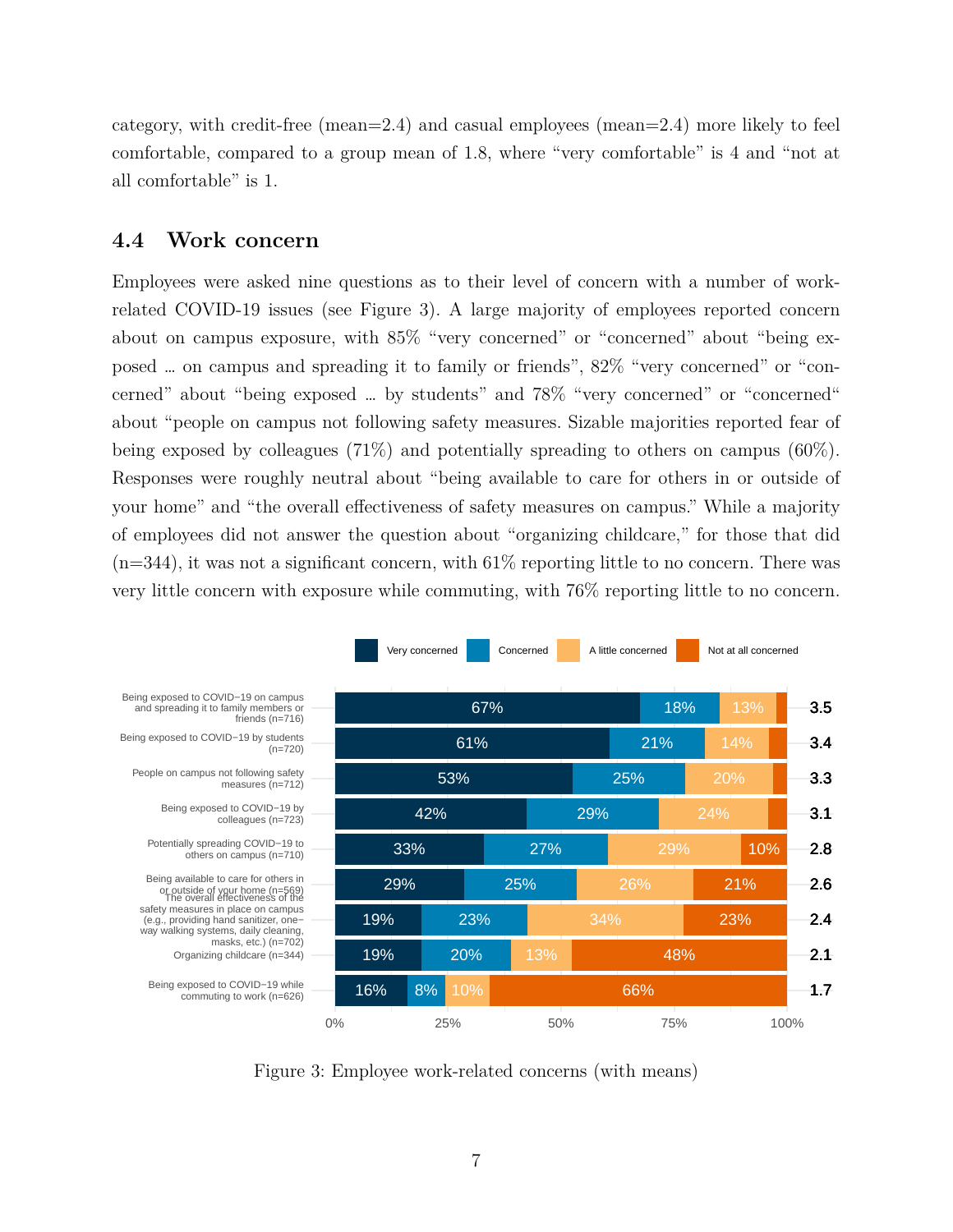category, with credit-free (mean=2.4) and casual employees (mean=2.4) more likely to feel comfortable, compared to a group mean of 1.8, where "very comfortable" is 4 and "not at all comfortable" is 1.

### **4.4 Work concern**

Employees were asked nine questions as to their level of concern with a number of workrelated COVID-19 issues (see Figure 3). A large majority of employees reported concern about on campus exposure, with 85% "very concerned" or "concerned" about "being exposed … on campus and spreading it to family or friends", 82% "very concerned" or "concerned" about "being exposed … by students" and 78% "very concerned" or "concerned" about "people on campus not following safety measures. Sizable majorities reported fear of being exposed by colleagues (71%) and potentially spreading to others on campus (60%). Responses were roughly neutral about "being available to care for others in or outside of your home" and "the overall effectiveness of safety measures on campus." While a majority of employees did not answer the question about "organizing childcare," for those that did  $(n=344)$ , it was not a significant concern, with  $61\%$  reporting little to no concern. There was very little concern with exposure while commuting, with 76% reporting little to no concern.



Figure 3: Employee work-related concerns (with means)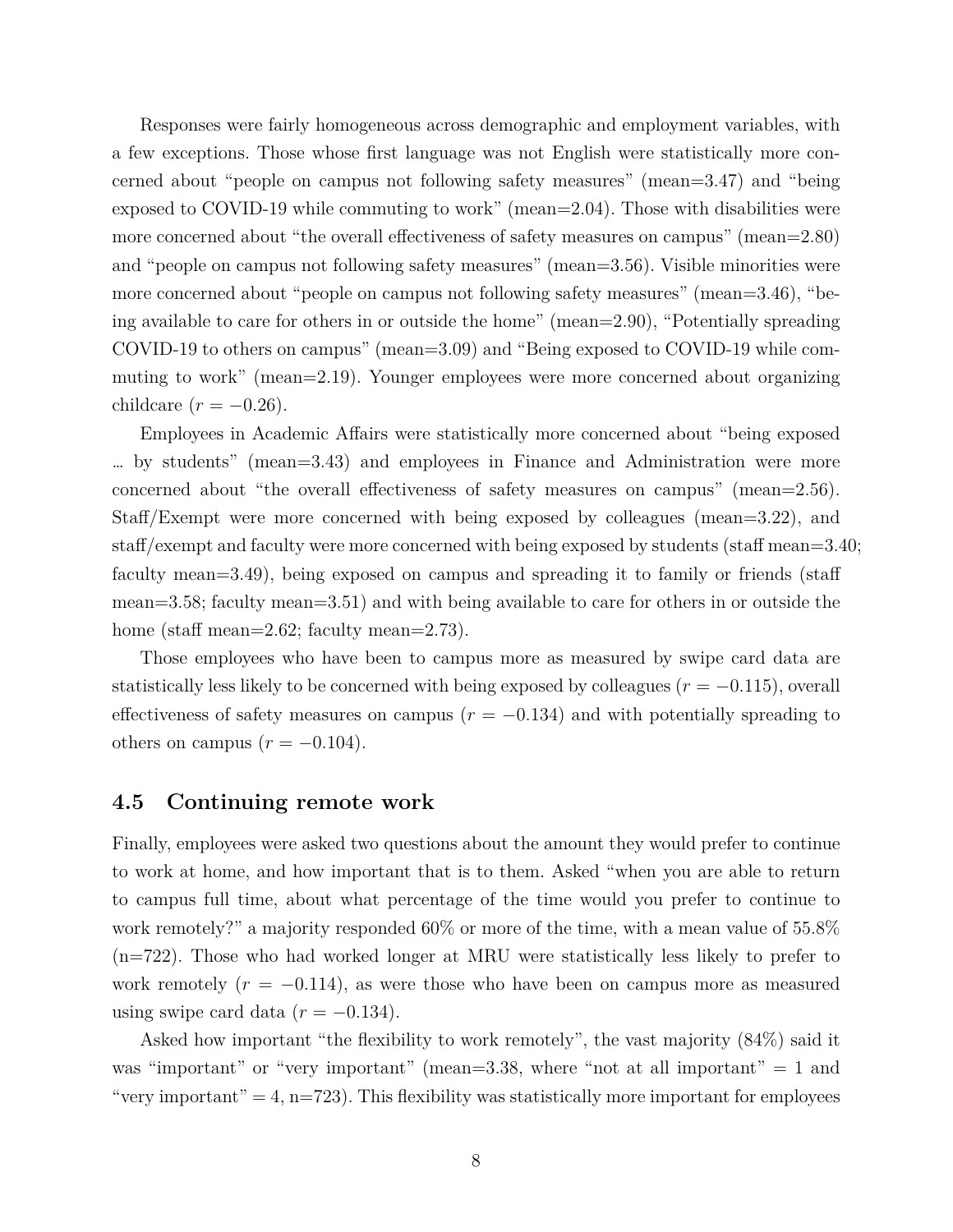Responses were fairly homogeneous across demographic and employment variables, with a few exceptions. Those whose first language was not English were statistically more concerned about "people on campus not following safety measures" (mean=3.47) and "being exposed to COVID-19 while commuting to work" (mean=2.04). Those with disabilities were more concerned about "the overall effectiveness of safety measures on campus" (mean=2.80) and "people on campus not following safety measures" (mean=3.56). Visible minorities were more concerned about "people on campus not following safety measures" (mean=3.46), "being available to care for others in or outside the home" (mean=2.90), "Potentially spreading COVID-19 to others on campus" (mean=3.09) and "Being exposed to COVID-19 while commuting to work" (mean=2.19). Younger employees were more concerned about organizing childcare  $(r = -0.26)$ .

Employees in Academic Affairs were statistically more concerned about "being exposed … by students" (mean=3.43) and employees in Finance and Administration were more concerned about "the overall effectiveness of safety measures on campus" (mean=2.56). Staff/Exempt were more concerned with being exposed by colleagues (mean=3.22), and staff/exempt and faculty were more concerned with being exposed by students (staff mean=3.40; faculty mean=3.49), being exposed on campus and spreading it to family or friends (staff mean=3.58; faculty mean=3.51) and with being available to care for others in or outside the home (staff mean=2.62; faculty mean=2.73).

Those employees who have been to campus more as measured by swipe card data are statistically less likely to be concerned with being exposed by colleagues  $(r = -0.115)$ , overall effectiveness of safety measures on campus  $(r = -0.134)$  and with potentially spreading to others on campus  $(r = -0.104)$ .

#### **4.5 Continuing remote work**

Finally, employees were asked two questions about the amount they would prefer to continue to work at home, and how important that is to them. Asked "when you are able to return to campus full time, about what percentage of the time would you prefer to continue to work remotely?" a majority responded 60% or more of the time, with a mean value of 55.8% (n=722). Those who had worked longer at MRU were statistically less likely to prefer to work remotely  $(r = -0.114)$ , as were those who have been on campus more as measured using swipe card data  $(r = -0.134)$ .

Asked how important "the flexibility to work remotely", the vast majority (84%) said it was "important" or "very important" (mean=3.38, where "not at all important"  $= 1$  and "very important" = 4, n=723). This flexibility was statistically more important for employees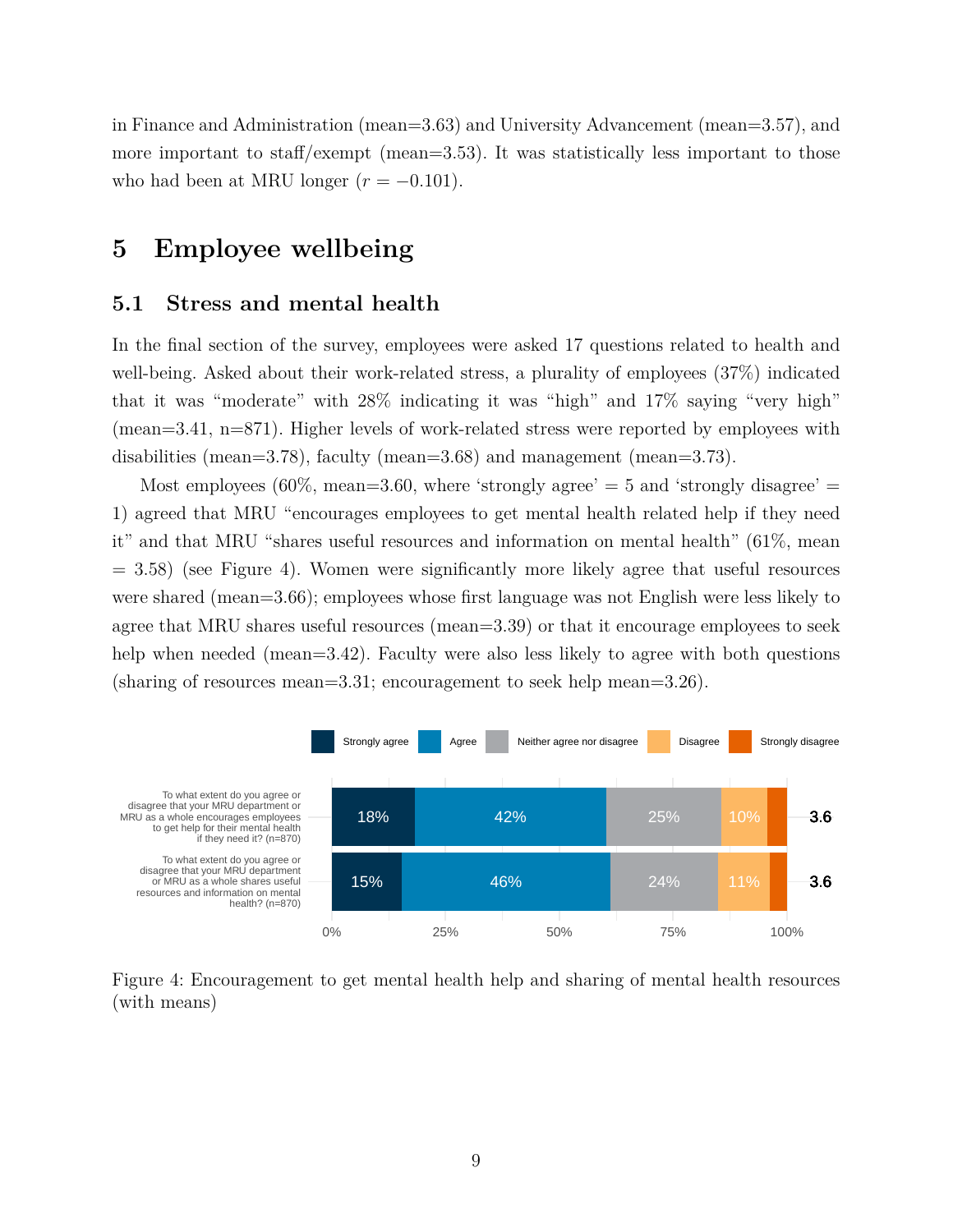in Finance and Administration (mean=3.63) and University Advancement (mean=3.57), and more important to staff/exempt (mean=3.53). It was statistically less important to those who had been at MRU longer  $(r = -0.101)$ .

## **5 Employee wellbeing**

#### **5.1 Stress and mental health**

In the final section of the survey, employees were asked 17 questions related to health and well-being. Asked about their work-related stress, a plurality of employees (37%) indicated that it was "moderate" with 28% indicating it was "high" and 17% saying "very high" (mean=3.41, n=871). Higher levels of work-related stress were reported by employees with disabilities (mean=3.78), faculty (mean=3.68) and management (mean=3.73).

Most employees  $(60\%$ , mean=3.60, where 'strongly agree' = 5 and 'strongly disagree' = 1) agreed that MRU "encourages employees to get mental health related help if they need it" and that MRU "shares useful resources and information on mental health" (61%, mean  $= 3.58$ ) (see Figure 4). Women were significantly more likely agree that useful resources were shared (mean=3.66); employees whose first language was not English were less likely to agree that MRU shares useful resources (mean=3.39) or that it encourage employees to seek help when needed (mean=3.42). Faculty were also less likely to agree with both questions (sharing of resources mean=3.31; encouragement to seek help mean=3.26).



Figure 4: Encouragement to get mental health help and sharing of mental health resources (with means)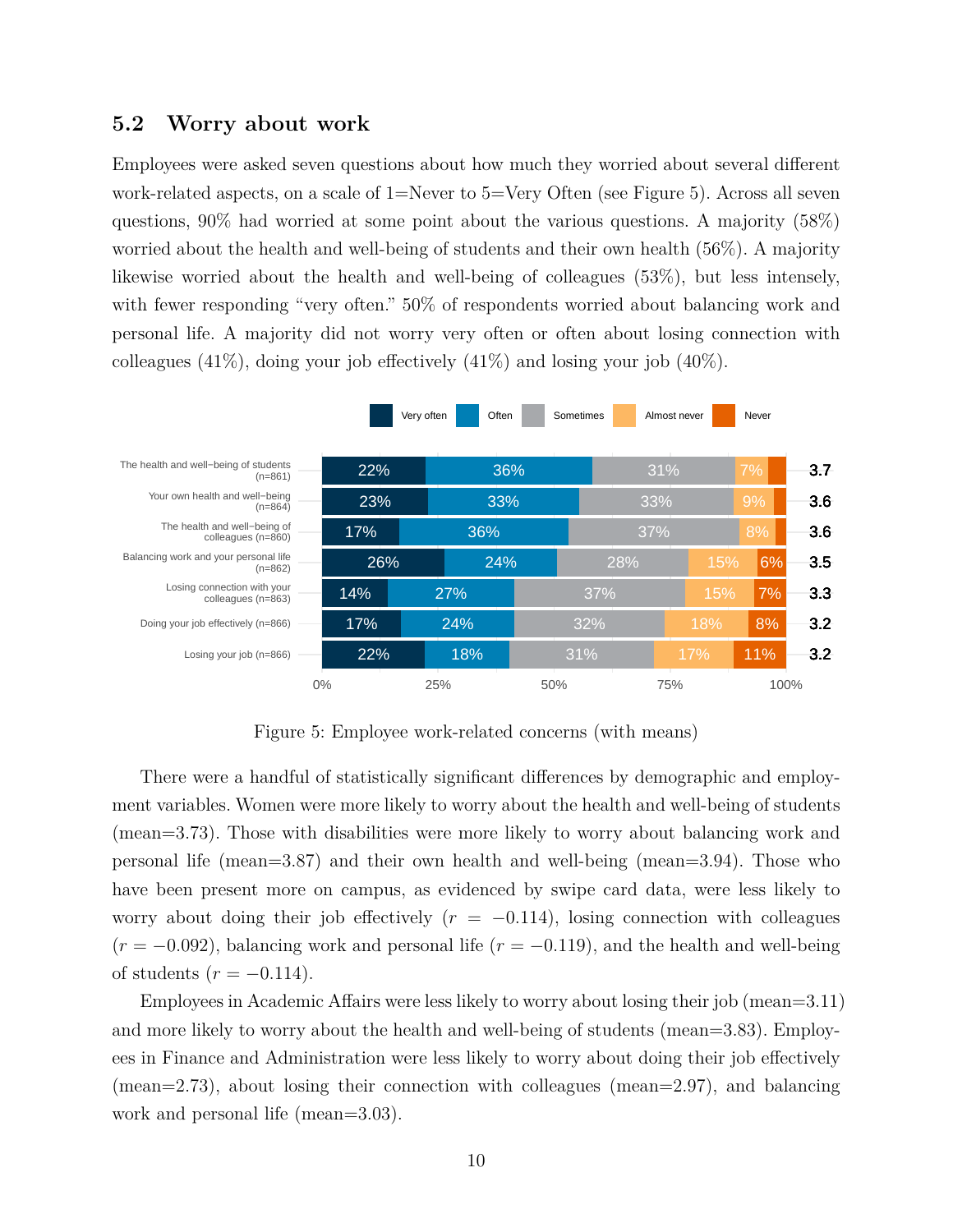#### **5.2 Worry about work**

Employees were asked seven questions about how much they worried about several different work-related aspects, on a scale of 1=Never to 5=Very Often (see Figure 5). Across all seven questions, 90% had worried at some point about the various questions. A majority (58%) worried about the health and well-being of students and their own health (56%). A majority likewise worried about the health and well-being of colleagues (53%), but less intensely, with fewer responding "very often." 50% of respondents worried about balancing work and personal life. A majority did not worry very often or often about losing connection with colleagues  $(41\%)$ , doing your job effectively  $(41\%)$  and losing your job  $(40\%).$ 



Figure 5: Employee work-related concerns (with means)

There were a handful of statistically significant differences by demographic and employment variables. Women were more likely to worry about the health and well-being of students (mean=3.73). Those with disabilities were more likely to worry about balancing work and personal life (mean=3.87) and their own health and well-being (mean=3.94). Those who have been present more on campus, as evidenced by swipe card data, were less likely to worry about doing their job effectively  $(r = -0.114)$ , losing connection with colleagues (*r* = *−*0*.*092), balancing work and personal life (*r* = *−*0*.*119), and the health and well-being of students  $(r = -0.114)$ .

Employees in Academic Affairs were less likely to worry about losing their job (mean=3.11) and more likely to worry about the health and well-being of students (mean=3.83). Employees in Finance and Administration were less likely to worry about doing their job effectively (mean=2.73), about losing their connection with colleagues (mean=2.97), and balancing work and personal life (mean=3.03).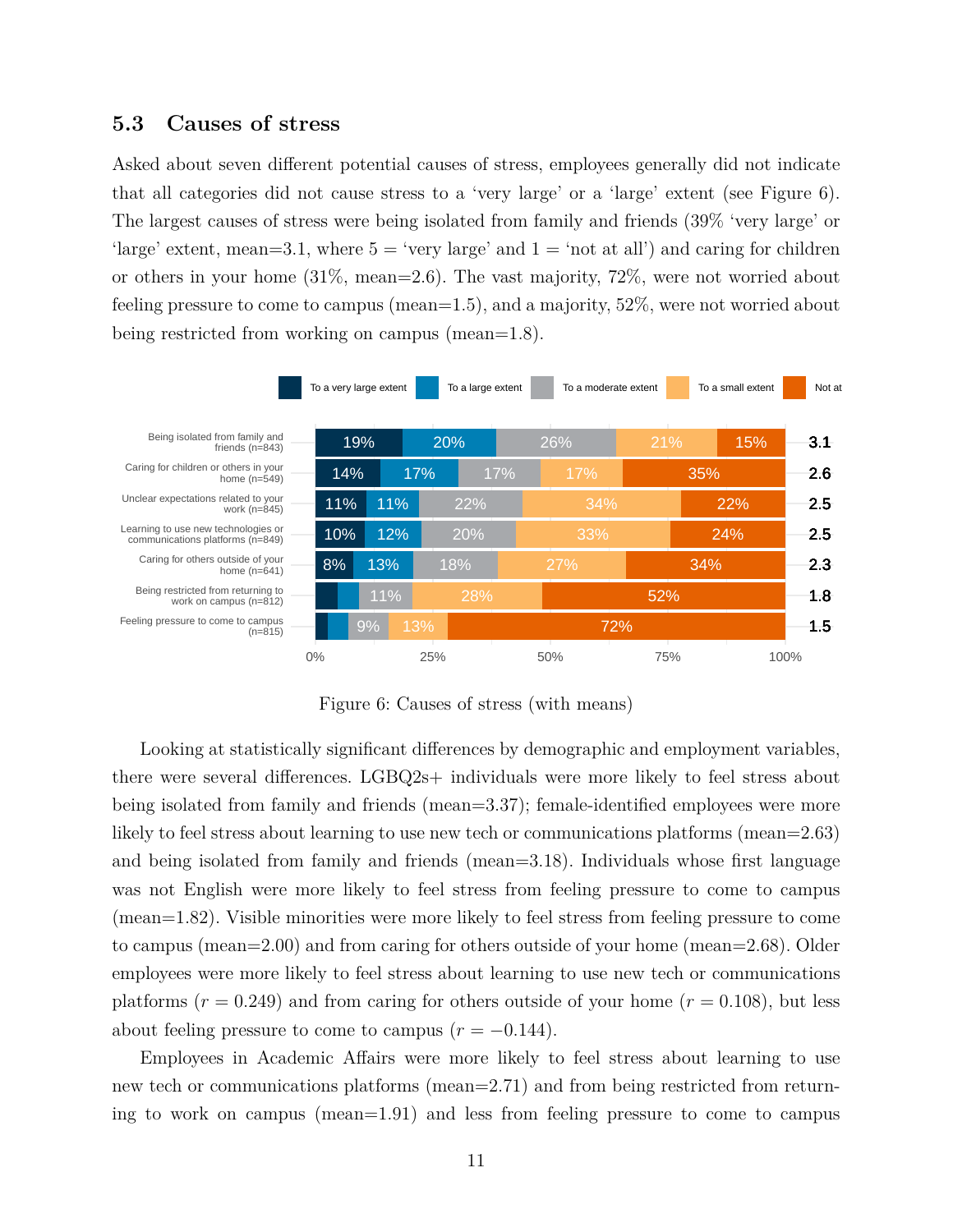#### **5.3 Causes of stress**

Asked about seven different potential causes of stress, employees generally did not indicate that all categories did not cause stress to a 'very large' or a 'large' extent (see Figure 6). The largest causes of stress were being isolated from family and friends (39% 'very large' or 'large' extent, mean=3.1, where  $5 =$  'very large' and  $1 =$  'not at all') and caring for children or others in your home (31%, mean=2.6). The vast majority, 72%, were not worried about feeling pressure to come to campus (mean=1.5), and a majority, 52%, were not worried about being restricted from working on campus (mean=1.8).



Figure 6: Causes of stress (with means)

Looking at statistically significant differences by demographic and employment variables, there were several differences. LGBQ2s+ individuals were more likely to feel stress about being isolated from family and friends (mean=3.37); female-identified employees were more likely to feel stress about learning to use new tech or communications platforms (mean=2.63) and being isolated from family and friends (mean=3.18). Individuals whose first language was not English were more likely to feel stress from feeling pressure to come to campus (mean=1.82). Visible minorities were more likely to feel stress from feeling pressure to come to campus (mean=2.00) and from caring for others outside of your home (mean=2.68). Older employees were more likely to feel stress about learning to use new tech or communications platforms  $(r = 0.249)$  and from caring for others outside of your home  $(r = 0.108)$ , but less about feeling pressure to come to campus  $(r = -0.144)$ .

Employees in Academic Affairs were more likely to feel stress about learning to use new tech or communications platforms (mean=2.71) and from being restricted from returning to work on campus (mean=1.91) and less from feeling pressure to come to campus